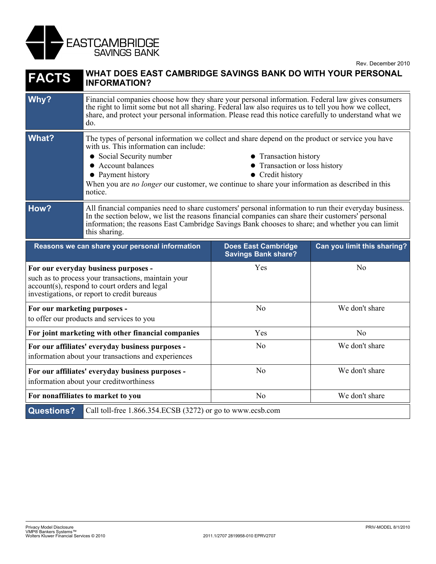

Rev. December 2010

| <b>FACTS</b>                                                                                                                                                                                | WHAT DOES EAST CAMBRIDGE SAVINGS BANK DO WITH YOUR PERSONAL<br><b>INFORMATION?</b>                                                                                                                                                                                                                                                                                                                                   |                                                          |                             |
|---------------------------------------------------------------------------------------------------------------------------------------------------------------------------------------------|----------------------------------------------------------------------------------------------------------------------------------------------------------------------------------------------------------------------------------------------------------------------------------------------------------------------------------------------------------------------------------------------------------------------|----------------------------------------------------------|-----------------------------|
| Why?                                                                                                                                                                                        | Financial companies choose how they share your personal information. Federal law gives consumers<br>the right to limit some but not all sharing. Federal law also requires us to tell you how we collect,<br>share, and protect your personal information. Please read this notice carefully to understand what we<br>do.                                                                                            |                                                          |                             |
| <b>What?</b>                                                                                                                                                                                | The types of personal information we collect and share depend on the product or service you have<br>with us. This information can include:<br>• Social Security number<br>• Transaction history<br>• Account balances<br>• Transaction or loss history<br>• Credit history<br>• Payment history<br>When you are <i>no longer</i> our customer, we continue to share your information as described in this<br>notice. |                                                          |                             |
| How?                                                                                                                                                                                        | All financial companies need to share customers' personal information to run their everyday business.<br>In the section below, we list the reasons financial companies can share their customers' personal<br>information; the reasons East Cambridge Savings Bank chooses to share; and whether you can limit<br>this sharing.                                                                                      |                                                          |                             |
|                                                                                                                                                                                             | Reasons we can share your personal information                                                                                                                                                                                                                                                                                                                                                                       | <b>Does East Cambridge</b><br><b>Savings Bank share?</b> | Can you limit this sharing? |
| For our everyday business purposes -<br>such as to process your transactions, maintain your<br>account(s), respond to court orders and legal<br>investigations, or report to credit bureaus |                                                                                                                                                                                                                                                                                                                                                                                                                      | Yes                                                      | N <sub>o</sub>              |
| For our marketing purposes -<br>to offer our products and services to you                                                                                                                   |                                                                                                                                                                                                                                                                                                                                                                                                                      | No                                                       | We don't share              |
| For joint marketing with other financial companies                                                                                                                                          |                                                                                                                                                                                                                                                                                                                                                                                                                      | Yes                                                      | No                          |
| For our affiliates' everyday business purposes -<br>information about your transactions and experiences                                                                                     |                                                                                                                                                                                                                                                                                                                                                                                                                      | N <sub>o</sub>                                           | We don't share              |
| For our affiliates' everyday business purposes -<br>information about your creditworthiness                                                                                                 |                                                                                                                                                                                                                                                                                                                                                                                                                      | N <sub>o</sub>                                           | We don't share              |
| For nonaffiliates to market to you                                                                                                                                                          |                                                                                                                                                                                                                                                                                                                                                                                                                      | N <sub>o</sub>                                           | We don't share              |
| <b>Questions?</b><br>Call toll-free 1.866.354.ECSB (3272) or go to www.ecsb.com                                                                                                             |                                                                                                                                                                                                                                                                                                                                                                                                                      |                                                          |                             |